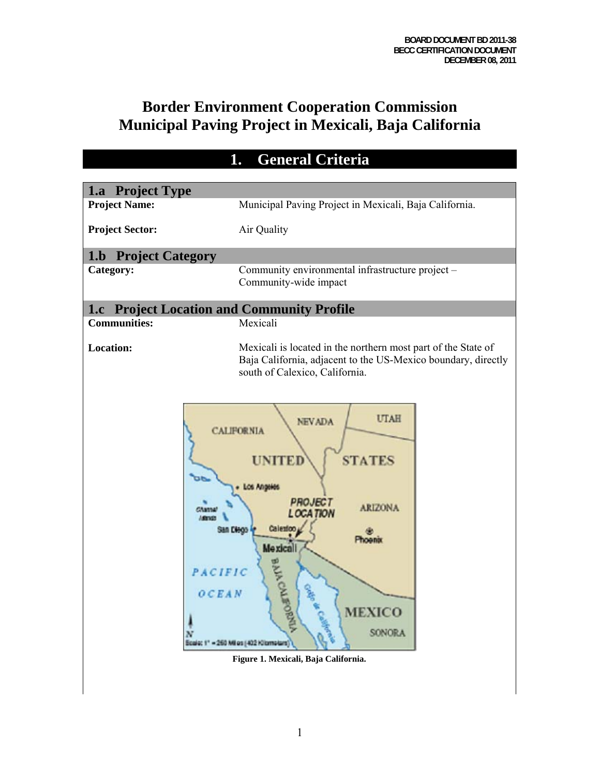# **Border Environment Cooperation Commission Municipal Paving Project in Mexicali, Baja California**

| <b>General Criteria</b><br>1.                     |                                                                                                                                                                                                                                                                        |
|---------------------------------------------------|------------------------------------------------------------------------------------------------------------------------------------------------------------------------------------------------------------------------------------------------------------------------|
|                                                   |                                                                                                                                                                                                                                                                        |
| 1.a Project Type<br><b>Project Name:</b>          | Municipal Paving Project in Mexicali, Baja California.                                                                                                                                                                                                                 |
|                                                   |                                                                                                                                                                                                                                                                        |
| <b>Project Sector:</b>                            | Air Quality                                                                                                                                                                                                                                                            |
| <b>1.b Project Category</b>                       |                                                                                                                                                                                                                                                                        |
| Category:                                         | Community environmental infrastructure project -<br>Community-wide impact                                                                                                                                                                                              |
| <b>1.c</b> Project Location and Community Profile |                                                                                                                                                                                                                                                                        |
| <b>Communities:</b>                               | Mexicali                                                                                                                                                                                                                                                               |
| <b>Location:</b>                                  | Mexicali is located in the northern most part of the State of<br>Baja California, adjacent to the US-Mexico boundary, directly<br>south of Calexico, California.                                                                                                       |
| PACIFIC<br>OCEAN                                  | <b>UTAH</b><br><b>NEVADA</b><br><b>CALIFORNIA</b><br><b>STATES</b><br><b>PROJECT</b><br><b>ARIZONA</b><br><b>LOCATION</b><br>Calezion<br>n Dieoo<br><b>Mexicall</b><br><b>MEXICO</b><br>SONORA<br>- 260 Miles (402 Kilometers)<br>Figure 1. Mexicali, Baja California. |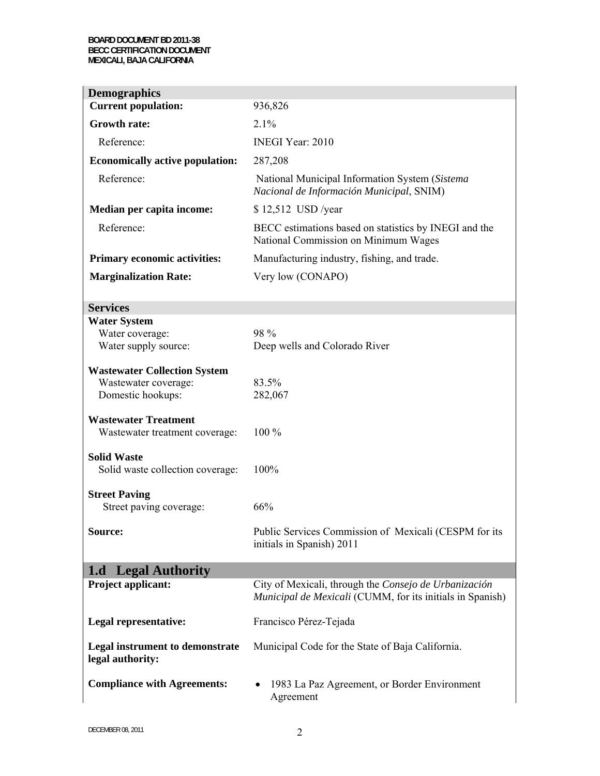#### **BOARD DOCUMENT BD 2011-38 BECC CERTIFICATION DOCUMENT MEXICALI, BAJA CALIFORNIA**

| <b>Demographics</b>                                                              |                                                                                                                    |
|----------------------------------------------------------------------------------|--------------------------------------------------------------------------------------------------------------------|
| <b>Current population:</b>                                                       | 936,826                                                                                                            |
| <b>Growth rate:</b>                                                              | 2.1%                                                                                                               |
| Reference:                                                                       | <b>INEGI Year: 2010</b>                                                                                            |
| <b>Economically active population:</b>                                           | 287,208                                                                                                            |
| Reference:                                                                       | National Municipal Information System (Sistema<br>Nacional de Información Municipal, SNIM)                         |
| Median per capita income:                                                        | \$12,512 USD /year                                                                                                 |
| Reference:                                                                       | BECC estimations based on statistics by INEGI and the<br>National Commission on Minimum Wages                      |
| <b>Primary economic activities:</b>                                              | Manufacturing industry, fishing, and trade.                                                                        |
| <b>Marginalization Rate:</b>                                                     | Very low (CONAPO)                                                                                                  |
|                                                                                  |                                                                                                                    |
| <b>Services</b>                                                                  |                                                                                                                    |
| <b>Water System</b><br>Water coverage:<br>Water supply source:                   | 98 %<br>Deep wells and Colorado River                                                                              |
| <b>Wastewater Collection System</b><br>Wastewater coverage:<br>Domestic hookups: | 83.5%<br>282,067                                                                                                   |
| <b>Wastewater Treatment</b><br>Wastewater treatment coverage:                    | 100 %                                                                                                              |
| <b>Solid Waste</b><br>Solid waste collection coverage:                           | 100%                                                                                                               |
| <b>Street Paving</b><br>Street paving coverage:                                  | 66%                                                                                                                |
| Source:                                                                          | Public Services Commission of Mexicali (CESPM for its<br>initials in Spanish) 2011                                 |
| 1.d Legal Authority                                                              |                                                                                                                    |
| <b>Project applicant:</b>                                                        | City of Mexicali, through the Consejo de Urbanización<br>Municipal de Mexicali (CUMM, for its initials in Spanish) |
| Legal representative:                                                            | Francisco Pérez-Tejada                                                                                             |
| <b>Legal instrument to demonstrate</b><br>legal authority:                       | Municipal Code for the State of Baja California.                                                                   |
| <b>Compliance with Agreements:</b>                                               | 1983 La Paz Agreement, or Border Environment<br>Agreement                                                          |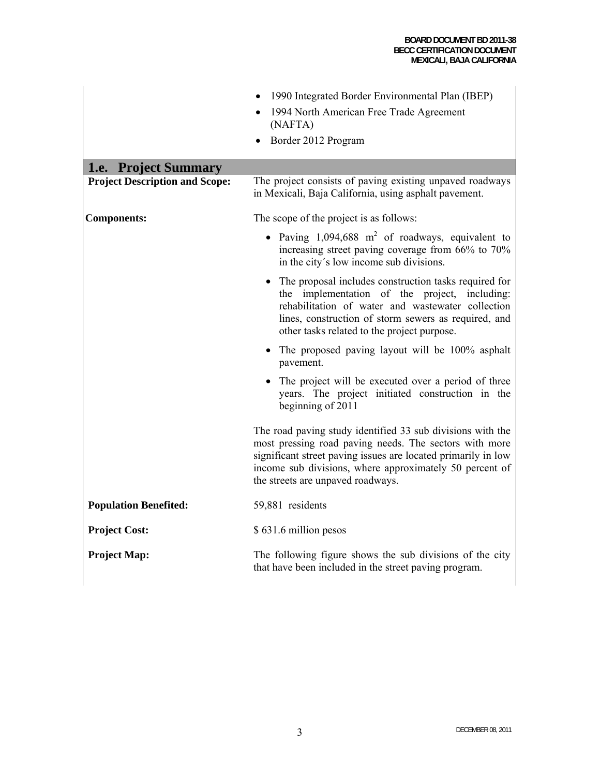|                                       | 1990 Integrated Border Environmental Plan (IBEP)<br>1994 North American Free Trade Agreement<br>(NAFTA)<br>Border 2012 Program                                                                                                                                                        |
|---------------------------------------|---------------------------------------------------------------------------------------------------------------------------------------------------------------------------------------------------------------------------------------------------------------------------------------|
| 1.e. Project Summary                  |                                                                                                                                                                                                                                                                                       |
| <b>Project Description and Scope:</b> | The project consists of paving existing unpaved roadways<br>in Mexicali, Baja California, using asphalt pavement.                                                                                                                                                                     |
| <b>Components:</b>                    | The scope of the project is as follows:                                                                                                                                                                                                                                               |
|                                       | • Paving $1,094,688$ m <sup>2</sup> of roadways, equivalent to<br>increasing street paving coverage from 66% to 70%<br>in the city's low income sub divisions.                                                                                                                        |
|                                       | The proposal includes construction tasks required for<br>the implementation of the project, including:<br>rehabilitation of water and wastewater collection<br>lines, construction of storm sewers as required, and<br>other tasks related to the project purpose.                    |
|                                       | • The proposed paving layout will be 100% asphalt<br>pavement.                                                                                                                                                                                                                        |
|                                       | The project will be executed over a period of three<br>years. The project initiated construction in the<br>beginning of 2011                                                                                                                                                          |
|                                       | The road paving study identified 33 sub divisions with the<br>most pressing road paving needs. The sectors with more<br>significant street paving issues are located primarily in low<br>income sub divisions, where approximately 50 percent of<br>the streets are unpaved roadways. |
| <b>Population Benefited:</b>          | 59,881 residents                                                                                                                                                                                                                                                                      |
| <b>Project Cost:</b>                  | \$631.6 million pesos                                                                                                                                                                                                                                                                 |
| <b>Project Map:</b>                   | The following figure shows the sub divisions of the city<br>that have been included in the street paving program.                                                                                                                                                                     |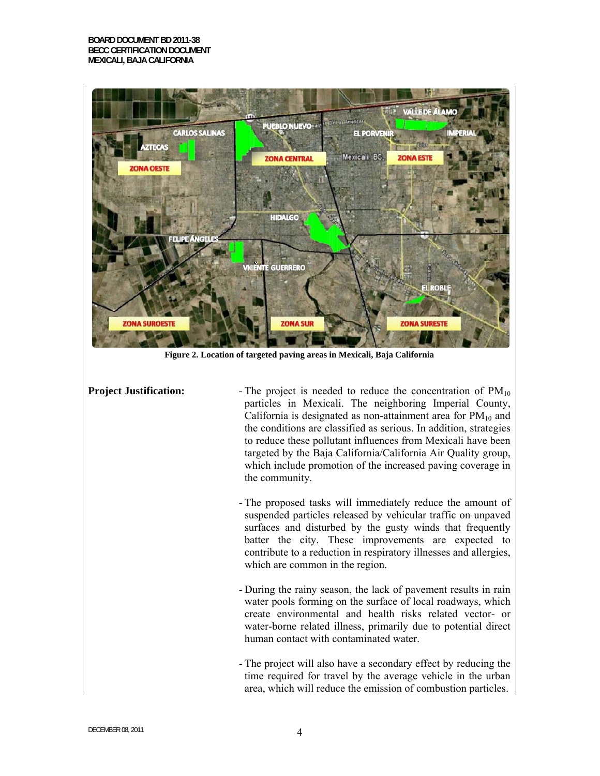

**Figure 2. Location of targeted paving areas in Mexicali, Baja California** 

**Project Justification:** The project is needed to reduce the concentration of  $PM_{10}$ particles in Mexicali. The neighboring Imperial County, California is designated as non-attainment area for  $PM_{10}$  and the conditions are classified as serious. In addition, strategies to reduce these pollutant influences from Mexicali have been targeted by the Baja California/California Air Quality group, which include promotion of the increased paving coverage in the community.

- The proposed tasks will immediately reduce the amount of suspended particles released by vehicular traffic on unpaved surfaces and disturbed by the gusty winds that frequently batter the city. These improvements are expected to contribute to a reduction in respiratory illnesses and allergies, which are common in the region.
- During the rainy season, the lack of pavement results in rain water pools forming on the surface of local roadways, which create environmental and health risks related vector- or water-borne related illness, primarily due to potential direct human contact with contaminated water.
- The project will also have a secondary effect by reducing the time required for travel by the average vehicle in the urban area, which will reduce the emission of combustion particles.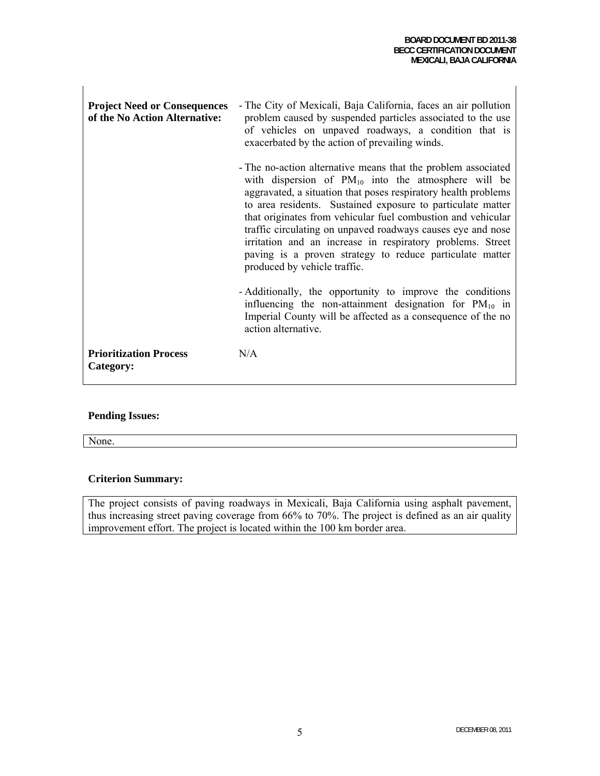$\mathbf{L}$ 

| <b>Project Need or Consequences</b><br>of the No Action Alternative: | - The City of Mexicali, Baja California, faces an air pollution<br>problem caused by suspended particles associated to the use<br>of vehicles on unpaved roadways, a condition that is<br>exacerbated by the action of prevailing winds.                                                                                                                                                                                                                                                                                                            |
|----------------------------------------------------------------------|-----------------------------------------------------------------------------------------------------------------------------------------------------------------------------------------------------------------------------------------------------------------------------------------------------------------------------------------------------------------------------------------------------------------------------------------------------------------------------------------------------------------------------------------------------|
|                                                                      | - The no-action alternative means that the problem associated<br>with dispersion of $PM_{10}$ into the atmosphere will be<br>aggravated, a situation that poses respiratory health problems<br>to area residents. Sustained exposure to particulate matter<br>that originates from vehicular fuel combustion and vehicular<br>traffic circulating on unpaved roadways causes eye and nose<br>irritation and an increase in respiratory problems. Street<br>paving is a proven strategy to reduce particulate matter<br>produced by vehicle traffic. |
|                                                                      | - Additionally, the opportunity to improve the conditions<br>influencing the non-attainment designation for $PM_{10}$ in<br>Imperial County will be affected as a consequence of the no<br>action alternative.                                                                                                                                                                                                                                                                                                                                      |
| <b>Prioritization Process</b><br>Category:                           | N/A                                                                                                                                                                                                                                                                                                                                                                                                                                                                                                                                                 |

### **Pending Issues:**

None.

#### **Criterion Summary:**

The project consists of paving roadways in Mexicali, Baja California using asphalt pavement, thus increasing street paving coverage from 66% to 70%. The project is defined as an air quality improvement effort. The project is located within the 100 km border area.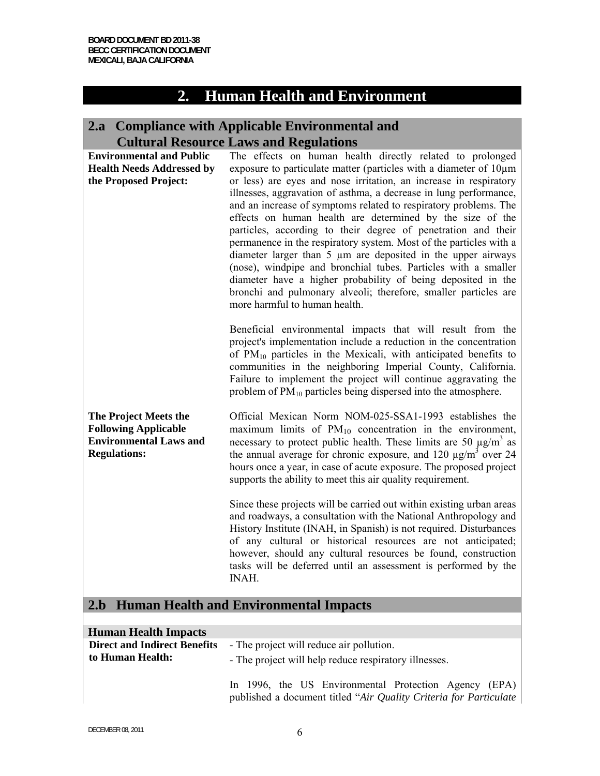## **2. Human Health and Environment**

## **2.a Compliance with Applicable Environmental and Cultural Resource Laws and Regulations**

| <b>Environmental and Public</b><br><b>Health Needs Addressed by</b><br>the Proposed Project:                 | The effects on human health directly related to prolonged<br>exposure to particulate matter (particles with a diameter of $10\mu m$ )<br>or less) are eyes and nose irritation, an increase in respiratory<br>illnesses, aggravation of asthma, a decrease in lung performance,<br>and an increase of symptoms related to respiratory problems. The<br>effects on human health are determined by the size of the<br>particles, according to their degree of penetration and their<br>permanence in the respiratory system. Most of the particles with a<br>diameter larger than $5 \mu m$ are deposited in the upper airways<br>(nose), windpipe and bronchial tubes. Particles with a smaller<br>diameter have a higher probability of being deposited in the<br>bronchi and pulmonary alveoli; therefore, smaller particles are<br>more harmful to human health. |
|--------------------------------------------------------------------------------------------------------------|--------------------------------------------------------------------------------------------------------------------------------------------------------------------------------------------------------------------------------------------------------------------------------------------------------------------------------------------------------------------------------------------------------------------------------------------------------------------------------------------------------------------------------------------------------------------------------------------------------------------------------------------------------------------------------------------------------------------------------------------------------------------------------------------------------------------------------------------------------------------|
|                                                                                                              | Beneficial environmental impacts that will result from the<br>project's implementation include a reduction in the concentration<br>of PM <sub>10</sub> particles in the Mexicali, with anticipated benefits to<br>communities in the neighboring Imperial County, California.<br>Failure to implement the project will continue aggravating the<br>problem of $PM_{10}$ particles being dispersed into the atmosphere.                                                                                                                                                                                                                                                                                                                                                                                                                                             |
| The Project Meets the<br><b>Following Applicable</b><br><b>Environmental Laws and</b><br><b>Regulations:</b> | Official Mexican Norm NOM-025-SSA1-1993 establishes the<br>maximum limits of $PM_{10}$ concentration in the environment,<br>necessary to protect public health. These limits are 50 $\mu$ g/m <sup>3</sup> as<br>the annual average for chronic exposure, and 120 $\mu$ g/m <sup>3</sup> over 24<br>hours once a year, in case of acute exposure. The proposed project<br>supports the ability to meet this air quality requirement.                                                                                                                                                                                                                                                                                                                                                                                                                               |
|                                                                                                              | Since these projects will be carried out within existing urban areas<br>and roadways, a consultation with the National Anthropology and<br>History Institute (INAH, in Spanish) is not required. Disturbances<br>of any cultural or historical resources are not anticipated;<br>however, should any cultural resources be found, construction<br>tasks will be deferred until an assessment is performed by the<br>INAH.                                                                                                                                                                                                                                                                                                                                                                                                                                          |
|                                                                                                              | 2.b Human Health and Environmental Impacts                                                                                                                                                                                                                                                                                                                                                                                                                                                                                                                                                                                                                                                                                                                                                                                                                         |

| <b>Human Health Impacts</b>                             |                                                                                                                             |  |
|---------------------------------------------------------|-----------------------------------------------------------------------------------------------------------------------------|--|
| <b>Direct and Indirect Benefits</b><br>to Human Health: | - The project will reduce air pollution.<br>- The project will help reduce respiratory illnesses.                           |  |
|                                                         | In 1996, the US Environmental Protection Agency (EPA)<br>published a document titled "Air Quality Criteria for Particulate" |  |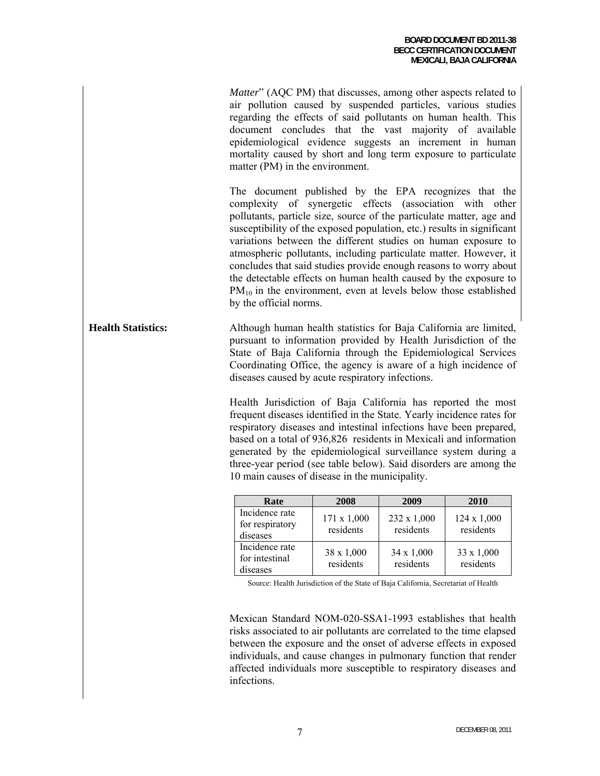*Matter*" (AQC PM) that discusses, among other aspects related to air pollution caused by suspended particles, various studies regarding the effects of said pollutants on human health. This document concludes that the vast majority of available epidemiological evidence suggests an increment in human mortality caused by short and long term exposure to particulate matter (PM) in the environment.

The document published by the EPA recognizes that the complexity of synergetic effects (association with other pollutants, particle size, source of the particulate matter, age and susceptibility of the exposed population, etc.) results in significant variations between the different studies on human exposure to atmospheric pollutants, including particulate matter. However, it concludes that said studies provide enough reasons to worry about the detectable effects on human health caused by the exposure to  $PM_{10}$  in the environment, even at levels below those established by the official norms.

**Health Statistics:** Although human health statistics for Baja California are limited, pursuant to information provided by Health Jurisdiction of the State of Baja California through the Epidemiological Services Coordinating Office, the agency is aware of a high incidence of diseases caused by acute respiratory infections.

> Health Jurisdiction of Baja California has reported the most frequent diseases identified in the State. Yearly incidence rates for respiratory diseases and intestinal infections have been prepared, based on a total of 936,826 residents in Mexicali and information generated by the epidemiological surveillance system during a three-year period (see table below). Said disorders are among the 10 main causes of disease in the municipality.

| Rate                                          | 2008                     | 2009                     | 2010                     |
|-----------------------------------------------|--------------------------|--------------------------|--------------------------|
| Incidence rate<br>for respiratory<br>diseases | 171 x 1,000<br>residents | 232 x 1,000<br>residents | 124 x 1,000<br>residents |
| Incidence rate<br>for intestinal<br>diseases  | 38 x 1,000<br>residents  | 34 x 1,000<br>residents  | 33 x 1,000<br>residents  |

Source: Health Jurisdiction of the State of Baja California, Secretariat of Health

Mexican Standard NOM-020-SSA1-1993 establishes that health risks associated to air pollutants are correlated to the time elapsed between the exposure and the onset of adverse effects in exposed individuals, and cause changes in pulmonary function that render affected individuals more susceptible to respiratory diseases and infections.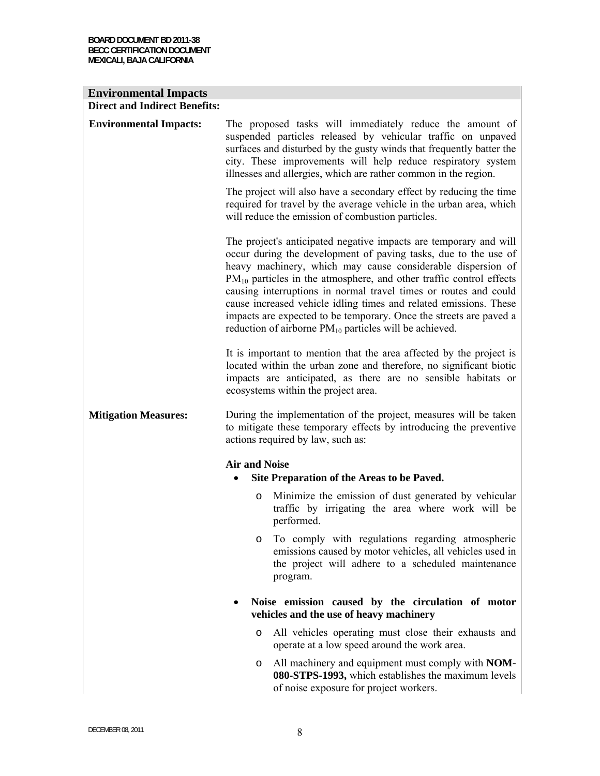| <b>Environmental Impacts</b>         |                                                                                                                                                                                                                                                                                                                                                                                                                                                                                                                                                               |
|--------------------------------------|---------------------------------------------------------------------------------------------------------------------------------------------------------------------------------------------------------------------------------------------------------------------------------------------------------------------------------------------------------------------------------------------------------------------------------------------------------------------------------------------------------------------------------------------------------------|
| <b>Direct and Indirect Benefits:</b> |                                                                                                                                                                                                                                                                                                                                                                                                                                                                                                                                                               |
| <b>Environmental Impacts:</b>        | The proposed tasks will immediately reduce the amount of<br>suspended particles released by vehicular traffic on unpaved<br>surfaces and disturbed by the gusty winds that frequently batter the<br>city. These improvements will help reduce respiratory system<br>illnesses and allergies, which are rather common in the region.                                                                                                                                                                                                                           |
|                                      | The project will also have a secondary effect by reducing the time<br>required for travel by the average vehicle in the urban area, which<br>will reduce the emission of combustion particles.                                                                                                                                                                                                                                                                                                                                                                |
|                                      | The project's anticipated negative impacts are temporary and will<br>occur during the development of paving tasks, due to the use of<br>heavy machinery, which may cause considerable dispersion of<br>$PM_{10}$ particles in the atmosphere, and other traffic control effects<br>causing interruptions in normal travel times or routes and could<br>cause increased vehicle idling times and related emissions. These<br>impacts are expected to be temporary. Once the streets are paved a<br>reduction of airborne $PM_{10}$ particles will be achieved. |
|                                      | It is important to mention that the area affected by the project is<br>located within the urban zone and therefore, no significant biotic<br>impacts are anticipated, as there are no sensible habitats or<br>ecosystems within the project area.                                                                                                                                                                                                                                                                                                             |
| <b>Mitigation Measures:</b>          | During the implementation of the project, measures will be taken<br>to mitigate these temporary effects by introducing the preventive<br>actions required by law, such as:                                                                                                                                                                                                                                                                                                                                                                                    |
|                                      | <b>Air and Noise</b><br>Site Preparation of the Areas to be Paved.                                                                                                                                                                                                                                                                                                                                                                                                                                                                                            |
|                                      | Minimize the emission of dust generated by vehicular<br>O<br>traffic by irrigating the area where work will be<br>performed.                                                                                                                                                                                                                                                                                                                                                                                                                                  |
|                                      | To comply with regulations regarding atmospheric<br>$\circ$<br>emissions caused by motor vehicles, all vehicles used in<br>the project will adhere to a scheduled maintenance<br>program.                                                                                                                                                                                                                                                                                                                                                                     |
|                                      | Noise emission caused by the circulation of motor<br>vehicles and the use of heavy machinery                                                                                                                                                                                                                                                                                                                                                                                                                                                                  |
|                                      | All vehicles operating must close their exhausts and<br>$\circ$<br>operate at a low speed around the work area.                                                                                                                                                                                                                                                                                                                                                                                                                                               |
|                                      | All machinery and equipment must comply with NOM-<br>O<br>080-STPS-1993, which establishes the maximum levels<br>of noise exposure for project workers.                                                                                                                                                                                                                                                                                                                                                                                                       |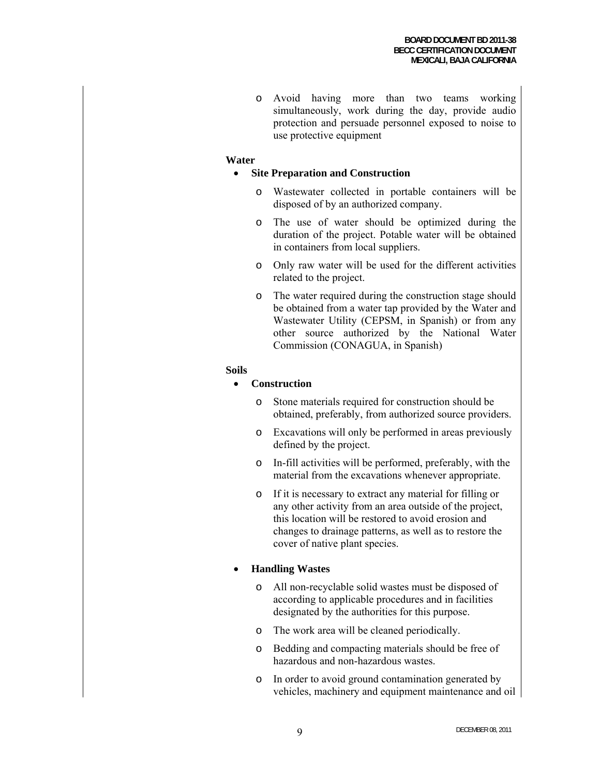o Avoid having more than two teams working simultaneously, work during the day, provide audio protection and persuade personnel exposed to noise to use protective equipment

#### **Water**

#### • **Site Preparation and Construction**

- o Wastewater collected in portable containers will be disposed of by an authorized company.
- o The use of water should be optimized during the duration of the project. Potable water will be obtained in containers from local suppliers.
- o Only raw water will be used for the different activities related to the project.
- o The water required during the construction stage should be obtained from a water tap provided by the Water and Wastewater Utility (CEPSM, in Spanish) or from any other source authorized by the National Water Commission (CONAGUA, in Spanish)

#### **Soils**

#### • **Construction**

- o Stone materials required for construction should be obtained, preferably, from authorized source providers.
- o Excavations will only be performed in areas previously defined by the project.
- o In-fill activities will be performed, preferably, with the material from the excavations whenever appropriate.
- o If it is necessary to extract any material for filling or any other activity from an area outside of the project, this location will be restored to avoid erosion and changes to drainage patterns, as well as to restore the cover of native plant species.

#### • **Handling Wastes**

- o All non-recyclable solid wastes must be disposed of according to applicable procedures and in facilities designated by the authorities for this purpose.
- o The work area will be cleaned periodically.
- o Bedding and compacting materials should be free of hazardous and non-hazardous wastes.
- o In order to avoid ground contamination generated by vehicles, machinery and equipment maintenance and oil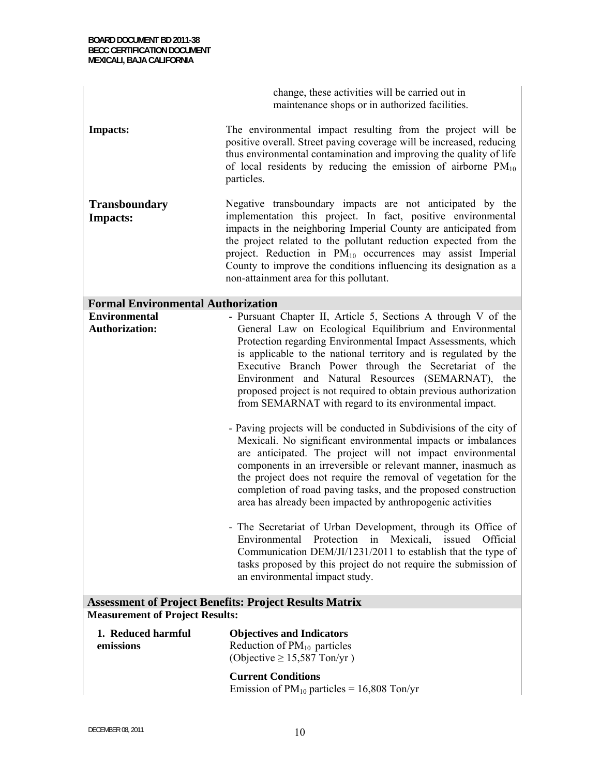change, these activities will be carried out in maintenance shops or in authorized facilities.

**Impacts:** The environmental impact resulting from the project will be positive overall. Street paving coverage will be increased, reducing thus environmental contamination and improving the quality of life of local residents by reducing the emission of airborne  $PM_{10}$ particles.

**Transboundary Impacts:**  Negative transboundary impacts are not anticipated by the implementation this project. In fact, positive environmental impacts in the neighboring Imperial County are anticipated from the project related to the pollutant reduction expected from the project. Reduction in PM<sub>10</sub> occurrences may assist Imperial County to improve the conditions influencing its designation as a non-attainment area for this pollutant.

#### **Formal Environmental Authorization**

| <b>Environmental</b>  | - Pursuant Chapter II, Article 5, Sections A through V of the     |
|-----------------------|-------------------------------------------------------------------|
| <b>Authorization:</b> | General Law on Ecological Equilibrium and Environmental           |
|                       | Protection regarding Environmental Impact Assessments, which      |
|                       | is applicable to the national territory and is regulated by the   |
|                       | Executive Branch Power through the Secretariat of the             |
|                       | Environment and Natural Resources (SEMARNAT), the                 |
|                       | proposed project is not required to obtain previous authorization |
|                       | from SEMARNAT with regard to its environmental impact.            |
|                       |                                                                   |

- Paving projects will be conducted in Subdivisions of the city of Mexicali. No significant environmental impacts or imbalances are anticipated. The project will not impact environmental components in an irreversible or relevant manner, inasmuch as the project does not require the removal of vegetation for the completion of road paving tasks, and the proposed construction area has already been impacted by anthropogenic activities
- The Secretariat of Urban Development, through its Office of Environmental Protection in Mexicali, issued Official Communication DEM/JI/1231/2011 to establish that the type of tasks proposed by this project do not require the submission of an environmental impact study.

### **Assessment of Project Benefits: Project Results Matrix Measurement of Project Results:**

| 1. Reduced harmful | <b>Objectives and Indicators</b> |
|--------------------|----------------------------------|
| emissions          | Reduction of $PM_{10}$ particles |
|                    | (Objective $\geq$ 15,587 Ton/yr) |
|                    | <b>Current Conditions</b>        |

Emission of  $PM_{10}$  particles = 16,808 Ton/yr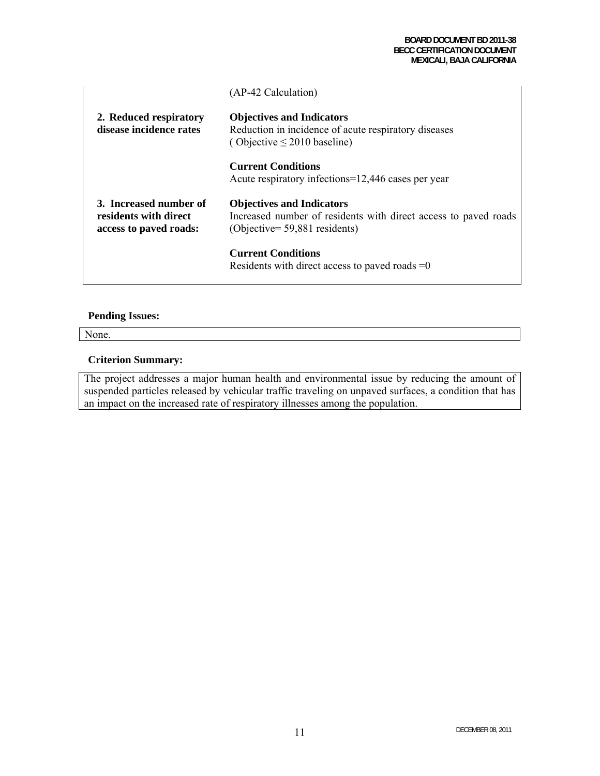|                                                                           | (AP-42 Calculation)                                                                                                                     |
|---------------------------------------------------------------------------|-----------------------------------------------------------------------------------------------------------------------------------------|
| 2. Reduced respiratory<br>disease incidence rates                         | <b>Objectives and Indicators</b><br>Reduction in incidence of acute respiratory diseases<br>(Objective $\leq$ 2010 baseline)            |
|                                                                           | <b>Current Conditions</b><br>Acute respiratory infections=12,446 cases per year                                                         |
| 3. Increased number of<br>residents with direct<br>access to payed roads: | <b>Objectives and Indicators</b><br>Increased number of residents with direct access to paved roads<br>$(Objective = 59,881$ residents) |
|                                                                           | <b>Current Conditions</b><br>Residents with direct access to paved roads $=0$                                                           |

#### **Pending Issues:**

None.

#### **Criterion Summary:**

The project addresses a major human health and environmental issue by reducing the amount of suspended particles released by vehicular traffic traveling on unpaved surfaces, a condition that has an impact on the increased rate of respiratory illnesses among the population.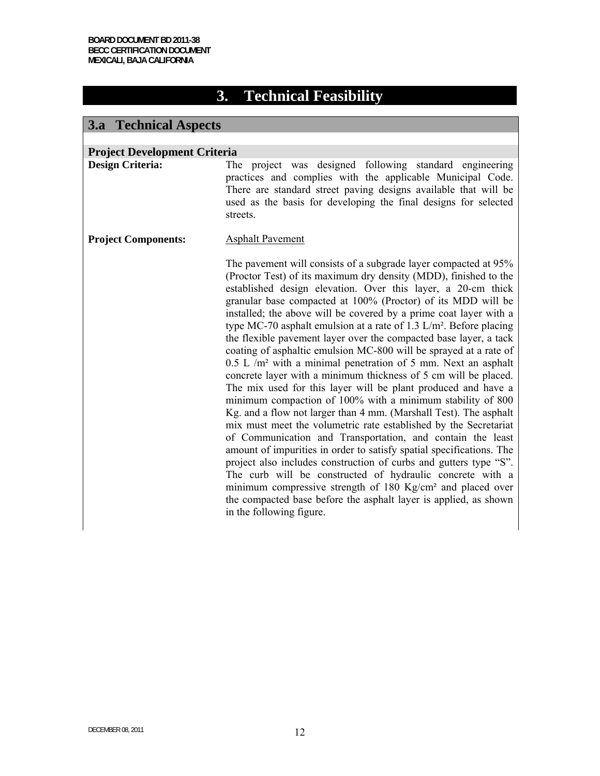# **3. Technical Feasibility**

## **3.a Technical Aspects**

| <b>Project Development Criteria</b> |                                                                                                                                                                                                                                                                                                                                                                                                                                                                                                                                                                                                                                                                                                                                                                                                                                                                                                                                                                                                                                                                                                                                                                                                                                                                                                                                                                                                                                         |
|-------------------------------------|-----------------------------------------------------------------------------------------------------------------------------------------------------------------------------------------------------------------------------------------------------------------------------------------------------------------------------------------------------------------------------------------------------------------------------------------------------------------------------------------------------------------------------------------------------------------------------------------------------------------------------------------------------------------------------------------------------------------------------------------------------------------------------------------------------------------------------------------------------------------------------------------------------------------------------------------------------------------------------------------------------------------------------------------------------------------------------------------------------------------------------------------------------------------------------------------------------------------------------------------------------------------------------------------------------------------------------------------------------------------------------------------------------------------------------------------|
| <b>Design Criteria:</b>             | The project was designed following standard engineering<br>practices and complies with the applicable Municipal Code.<br>There are standard street paving designs available that will be<br>used as the basis for developing the final designs for selected<br>streets.                                                                                                                                                                                                                                                                                                                                                                                                                                                                                                                                                                                                                                                                                                                                                                                                                                                                                                                                                                                                                                                                                                                                                                 |
| <b>Project Components:</b>          | <b>Asphalt Pavement</b>                                                                                                                                                                                                                                                                                                                                                                                                                                                                                                                                                                                                                                                                                                                                                                                                                                                                                                                                                                                                                                                                                                                                                                                                                                                                                                                                                                                                                 |
|                                     | The pavement will consists of a subgrade layer compacted at 95%<br>(Proctor Test) of its maximum dry density (MDD), finished to the<br>established design elevation. Over this layer, a 20-cm thick<br>granular base compacted at 100% (Proctor) of its MDD will be<br>installed; the above will be covered by a prime coat layer with a<br>type MC-70 asphalt emulsion at a rate of 1.3 $L/m^2$ . Before placing<br>the flexible pavement layer over the compacted base layer, a tack<br>coating of asphaltic emulsion MC-800 will be sprayed at a rate of<br>$0.5$ L /m <sup>2</sup> with a minimal penetration of 5 mm. Next an asphalt<br>concrete layer with a minimum thickness of 5 cm will be placed.<br>The mix used for this layer will be plant produced and have a<br>minimum compaction of 100% with a minimum stability of 800<br>Kg. and a flow not larger than 4 mm. (Marshall Test). The asphalt<br>mix must meet the volumetric rate established by the Secretariat<br>of Communication and Transportation, and contain the least<br>amount of impurities in order to satisfy spatial specifications. The<br>project also includes construction of curbs and gutters type "S".<br>The curb will be constructed of hydraulic concrete with a<br>minimum compressive strength of 180 Kg/cm <sup>2</sup> and placed over<br>the compacted base before the asphalt layer is applied, as shown<br>in the following figure. |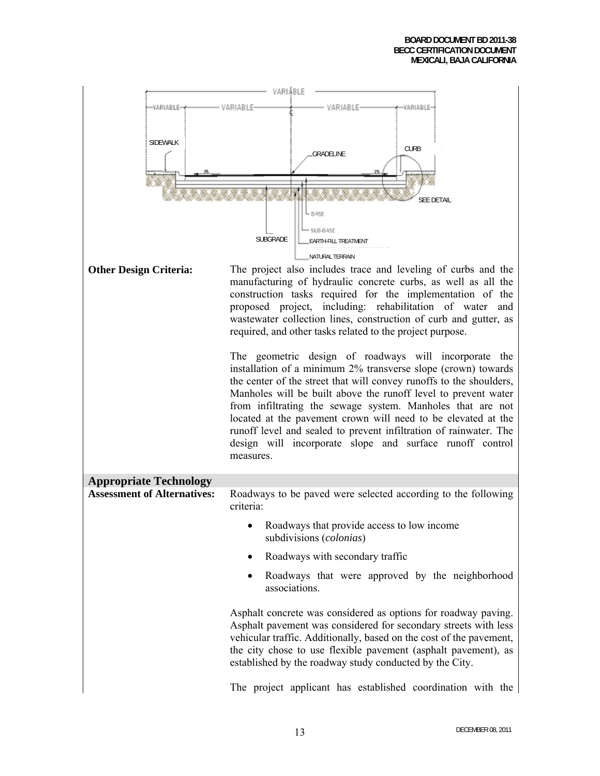| VARIABLE                           |                                                                                                                                                                                                                                                                                                                                                                                                                                                                                                                                              |  |  |  |  |
|------------------------------------|----------------------------------------------------------------------------------------------------------------------------------------------------------------------------------------------------------------------------------------------------------------------------------------------------------------------------------------------------------------------------------------------------------------------------------------------------------------------------------------------------------------------------------------------|--|--|--|--|
| √ARIABLE⇒                          | -VARIABLE-<br>VARIABLE<br>VARIABLE                                                                                                                                                                                                                                                                                                                                                                                                                                                                                                           |  |  |  |  |
| SIDEWALK                           | <b>CURB</b><br><b>GRADELINE</b><br><b>SEE DETAIL</b><br>$-$ BASE                                                                                                                                                                                                                                                                                                                                                                                                                                                                             |  |  |  |  |
|                                    | SUB-BASE<br>SUBGRADE<br>EARTH-FILL TREATMENT                                                                                                                                                                                                                                                                                                                                                                                                                                                                                                 |  |  |  |  |
|                                    | NATURAL TERRAIN                                                                                                                                                                                                                                                                                                                                                                                                                                                                                                                              |  |  |  |  |
| <b>Other Design Criteria:</b>      | The project also includes trace and leveling of curbs and the<br>manufacturing of hydraulic concrete curbs, as well as all the<br>construction tasks required for the implementation of the<br>proposed project, including: rehabilitation of water<br>and<br>wastewater collection lines, construction of curb and gutter, as<br>required, and other tasks related to the project purpose.                                                                                                                                                  |  |  |  |  |
|                                    | The geometric design of roadways will incorporate the<br>installation of a minimum 2% transverse slope (crown) towards<br>the center of the street that will convey runoffs to the shoulders,<br>Manholes will be built above the runoff level to prevent water<br>from infiltrating the sewage system. Manholes that are not<br>located at the pavement crown will need to be elevated at the<br>runoff level and sealed to prevent infiltration of rainwater. The<br>design will incorporate slope and surface runoff control<br>measures. |  |  |  |  |
| <b>Appropriate Technology</b>      |                                                                                                                                                                                                                                                                                                                                                                                                                                                                                                                                              |  |  |  |  |
| <b>Assessment of Alternatives:</b> | Roadways to be paved were selected according to the following<br>criteria:                                                                                                                                                                                                                                                                                                                                                                                                                                                                   |  |  |  |  |
|                                    | Roadways that provide access to low income<br>subdivisions (colonias)                                                                                                                                                                                                                                                                                                                                                                                                                                                                        |  |  |  |  |
|                                    | Roadways with secondary traffic                                                                                                                                                                                                                                                                                                                                                                                                                                                                                                              |  |  |  |  |
|                                    | Roadways that were approved by the neighborhood<br>associations.                                                                                                                                                                                                                                                                                                                                                                                                                                                                             |  |  |  |  |
|                                    | Asphalt concrete was considered as options for roadway paving.<br>Asphalt pavement was considered for secondary streets with less<br>vehicular traffic. Additionally, based on the cost of the pavement,<br>the city chose to use flexible pavement (asphalt pavement), as<br>established by the roadway study conducted by the City.                                                                                                                                                                                                        |  |  |  |  |
|                                    | The project applicant has established coordination with the                                                                                                                                                                                                                                                                                                                                                                                                                                                                                  |  |  |  |  |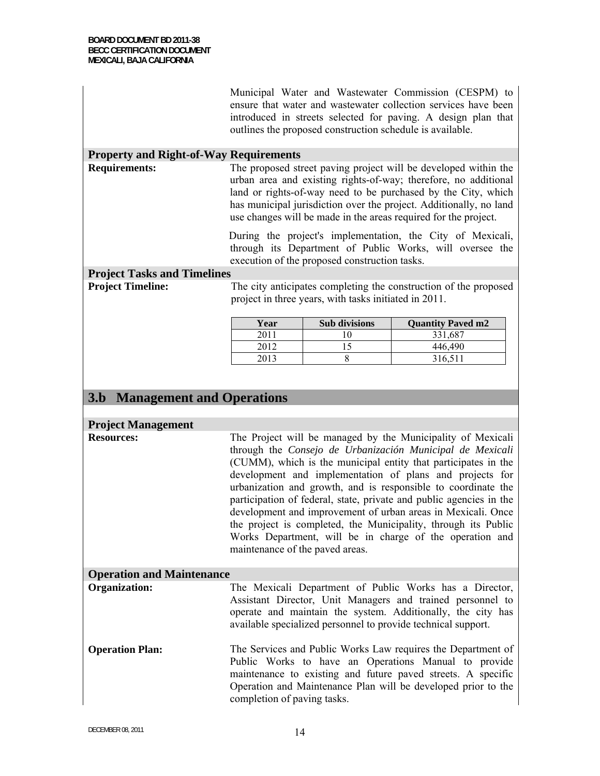|                                               | Municipal Water and Wastewater Commission (CESPM) to<br>ensure that water and wastewater collection services have been<br>introduced in streets selected for paving. A design plan that<br>outlines the proposed construction schedule is available.                                                                                                                                                                                                                                                                                                                                                                            |                                                                                                                                                                                                                                                                                                                                              |                                                                  |  |  |
|-----------------------------------------------|---------------------------------------------------------------------------------------------------------------------------------------------------------------------------------------------------------------------------------------------------------------------------------------------------------------------------------------------------------------------------------------------------------------------------------------------------------------------------------------------------------------------------------------------------------------------------------------------------------------------------------|----------------------------------------------------------------------------------------------------------------------------------------------------------------------------------------------------------------------------------------------------------------------------------------------------------------------------------------------|------------------------------------------------------------------|--|--|
| <b>Property and Right-of-Way Requirements</b> |                                                                                                                                                                                                                                                                                                                                                                                                                                                                                                                                                                                                                                 |                                                                                                                                                                                                                                                                                                                                              |                                                                  |  |  |
| <b>Requirements:</b>                          |                                                                                                                                                                                                                                                                                                                                                                                                                                                                                                                                                                                                                                 | The proposed street paving project will be developed within the<br>urban area and existing rights-of-way; therefore, no additional<br>land or rights-of-way need to be purchased by the City, which<br>has municipal jurisdiction over the project. Additionally, no land<br>use changes will be made in the areas required for the project. |                                                                  |  |  |
|                                               |                                                                                                                                                                                                                                                                                                                                                                                                                                                                                                                                                                                                                                 | During the project's implementation, the City of Mexicali,<br>through its Department of Public Works, will oversee the<br>execution of the proposed construction tasks.                                                                                                                                                                      |                                                                  |  |  |
| <b>Project Tasks and Timelines</b>            |                                                                                                                                                                                                                                                                                                                                                                                                                                                                                                                                                                                                                                 |                                                                                                                                                                                                                                                                                                                                              |                                                                  |  |  |
| <b>Project Timeline:</b>                      |                                                                                                                                                                                                                                                                                                                                                                                                                                                                                                                                                                                                                                 | project in three years, with tasks initiated in 2011.                                                                                                                                                                                                                                                                                        | The city anticipates completing the construction of the proposed |  |  |
|                                               | Year                                                                                                                                                                                                                                                                                                                                                                                                                                                                                                                                                                                                                            | Sub divisions                                                                                                                                                                                                                                                                                                                                | <b>Quantity Paved m2</b>                                         |  |  |
|                                               | 2011                                                                                                                                                                                                                                                                                                                                                                                                                                                                                                                                                                                                                            | 10                                                                                                                                                                                                                                                                                                                                           | 331,687                                                          |  |  |
|                                               | 2012                                                                                                                                                                                                                                                                                                                                                                                                                                                                                                                                                                                                                            | 15                                                                                                                                                                                                                                                                                                                                           | 446,490                                                          |  |  |
|                                               | 2013                                                                                                                                                                                                                                                                                                                                                                                                                                                                                                                                                                                                                            | 8                                                                                                                                                                                                                                                                                                                                            | 316,511                                                          |  |  |
| <b>3.b</b> Management and Operations          |                                                                                                                                                                                                                                                                                                                                                                                                                                                                                                                                                                                                                                 |                                                                                                                                                                                                                                                                                                                                              |                                                                  |  |  |
| <b>Project Management</b>                     |                                                                                                                                                                                                                                                                                                                                                                                                                                                                                                                                                                                                                                 |                                                                                                                                                                                                                                                                                                                                              |                                                                  |  |  |
| <b>Resources:</b>                             | The Project will be managed by the Municipality of Mexicali<br>through the Consejo de Urbanización Municipal de Mexicali<br>(CUMM), which is the municipal entity that participates in the<br>development and implementation of plans and projects for<br>urbanization and growth, and is responsible to coordinate the<br>participation of federal, state, private and public agencies in the<br>development and improvement of urban areas in Mexicali. Once<br>the project is completed, the Municipality, through its Public<br>Works Department, will be in charge of the operation and<br>maintenance of the paved areas. |                                                                                                                                                                                                                                                                                                                                              |                                                                  |  |  |
| <b>Operation and Maintenance</b>              |                                                                                                                                                                                                                                                                                                                                                                                                                                                                                                                                                                                                                                 |                                                                                                                                                                                                                                                                                                                                              |                                                                  |  |  |
| <b>Organization:</b>                          | The Mexicali Department of Public Works has a Director,<br>Assistant Director, Unit Managers and trained personnel to<br>operate and maintain the system. Additionally, the city has<br>available specialized personnel to provide technical support.                                                                                                                                                                                                                                                                                                                                                                           |                                                                                                                                                                                                                                                                                                                                              |                                                                  |  |  |
| <b>Operation Plan:</b>                        | The Services and Public Works Law requires the Department of<br>Public Works to have an Operations Manual to provide<br>maintenance to existing and future paved streets. A specific<br>Operation and Maintenance Plan will be developed prior to the<br>completion of paving tasks.                                                                                                                                                                                                                                                                                                                                            |                                                                                                                                                                                                                                                                                                                                              |                                                                  |  |  |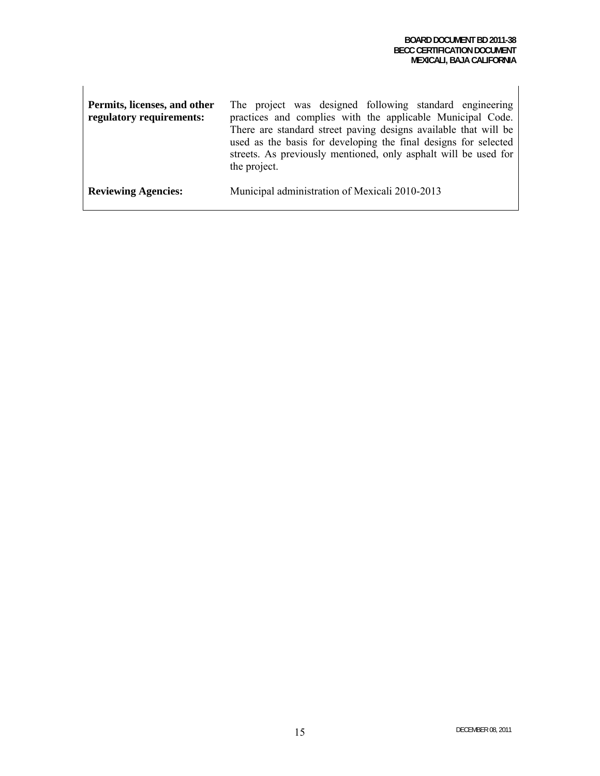| Permits, licenses, and other<br>regulatory requirements: | The project was designed following standard engineering<br>practices and complies with the applicable Municipal Code.<br>There are standard street paving designs available that will be<br>used as the basis for developing the final designs for selected<br>streets. As previously mentioned, only asphalt will be used for<br>the project. |
|----------------------------------------------------------|------------------------------------------------------------------------------------------------------------------------------------------------------------------------------------------------------------------------------------------------------------------------------------------------------------------------------------------------|
| <b>Reviewing Agencies:</b>                               | Municipal administration of Mexicali 2010-2013                                                                                                                                                                                                                                                                                                 |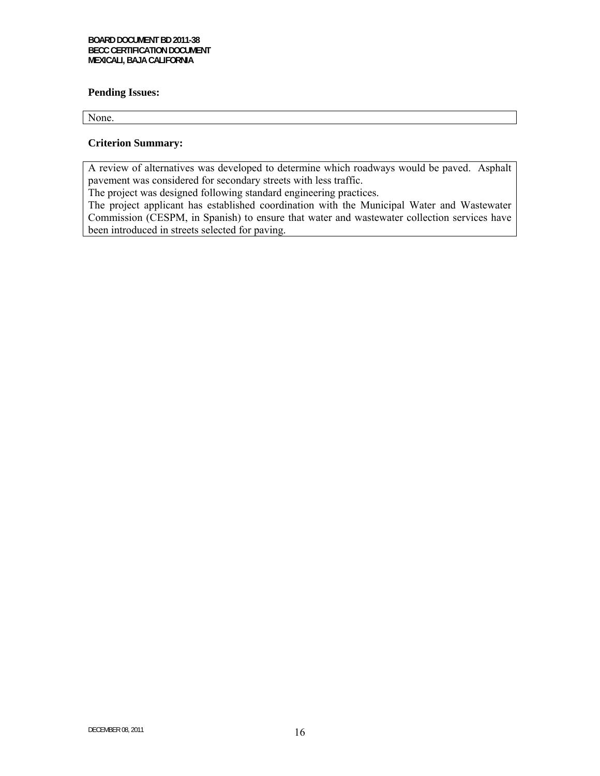#### **Pending Issues:**

None.

### **Criterion Summary:**

A review of alternatives was developed to determine which roadways would be paved. Asphalt pavement was considered for secondary streets with less traffic.

The project was designed following standard engineering practices.

The project applicant has established coordination with the Municipal Water and Wastewater Commission (CESPM, in Spanish) to ensure that water and wastewater collection services have been introduced in streets selected for paving.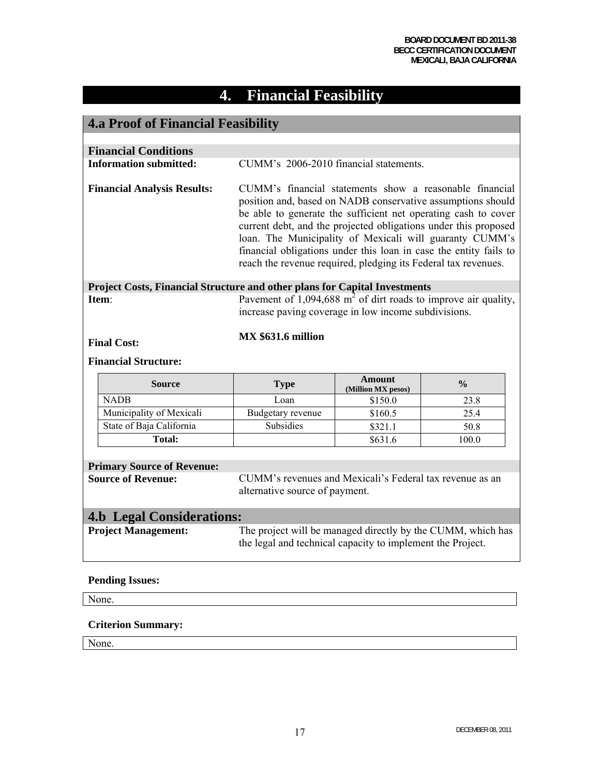# **4. Financial Feasibility**

## **4.a Proof of Financial Feasibility**

| <b>Financial Conditions</b> |                                                                                                                                   |                                                                                                                                                                                                                                                                                                                                                                                                                                                               |                              |               |  |
|-----------------------------|-----------------------------------------------------------------------------------------------------------------------------------|---------------------------------------------------------------------------------------------------------------------------------------------------------------------------------------------------------------------------------------------------------------------------------------------------------------------------------------------------------------------------------------------------------------------------------------------------------------|------------------------------|---------------|--|
|                             | <b>Information submitted:</b>                                                                                                     | CUMM's 2006-2010 financial statements.                                                                                                                                                                                                                                                                                                                                                                                                                        |                              |               |  |
|                             | <b>Financial Analysis Results:</b>                                                                                                | CUMM's financial statements show a reasonable financial<br>position and, based on NADB conservative assumptions should<br>be able to generate the sufficient net operating cash to cover<br>current debt, and the projected obligations under this proposed<br>loan. The Municipality of Mexicali will guaranty CUMM's<br>financial obligations under this loan in case the entity fails to<br>reach the revenue required, pledging its Federal tax revenues. |                              |               |  |
|                             | Project Costs, Financial Structure and other plans for Capital Investments                                                        |                                                                                                                                                                                                                                                                                                                                                                                                                                                               |                              |               |  |
|                             | Pavement of 1,094,688 $m2$ of dirt roads to improve air quality,<br>Item:<br>increase paving coverage in low income subdivisions. |                                                                                                                                                                                                                                                                                                                                                                                                                                                               |                              |               |  |
|                             | <b>MX \$631.6 million</b><br><b>Final Cost:</b>                                                                                   |                                                                                                                                                                                                                                                                                                                                                                                                                                                               |                              |               |  |
| <b>Financial Structure:</b> |                                                                                                                                   |                                                                                                                                                                                                                                                                                                                                                                                                                                                               |                              |               |  |
|                             |                                                                                                                                   |                                                                                                                                                                                                                                                                                                                                                                                                                                                               |                              |               |  |
|                             | <b>Source</b>                                                                                                                     | <b>Type</b>                                                                                                                                                                                                                                                                                                                                                                                                                                                   | Amount<br>(Million MX pesos) | $\frac{0}{0}$ |  |
|                             | <b>NADB</b>                                                                                                                       | Loan                                                                                                                                                                                                                                                                                                                                                                                                                                                          | \$150.0                      | 23.8          |  |
|                             | Municipality of Mexicali                                                                                                          | Budgetary revenue                                                                                                                                                                                                                                                                                                                                                                                                                                             | \$160.5                      | 25.4          |  |
|                             | State of Baja California                                                                                                          | <b>Subsidies</b>                                                                                                                                                                                                                                                                                                                                                                                                                                              | \$321.1                      | 50.8          |  |
|                             | <b>Total:</b>                                                                                                                     |                                                                                                                                                                                                                                                                                                                                                                                                                                                               | \$631.6                      | 100.0         |  |
|                             |                                                                                                                                   |                                                                                                                                                                                                                                                                                                                                                                                                                                                               |                              |               |  |
|                             | <b>Primary Source of Revenue:</b><br><b>Source of Revenue:</b>                                                                    | CUMM's revenues and Mexicali's Federal tax revenue as an<br>alternative source of payment.                                                                                                                                                                                                                                                                                                                                                                    |                              |               |  |
|                             |                                                                                                                                   |                                                                                                                                                                                                                                                                                                                                                                                                                                                               |                              |               |  |
|                             | <b>4.b Legal Considerations:</b><br><b>Project Management:</b>                                                                    | The project will be managed directly by the CUMM, which has<br>the legal and technical capacity to implement the Project.                                                                                                                                                                                                                                                                                                                                     |                              |               |  |

### **Pending Issues:**

None.

#### **Criterion Summary:**

None.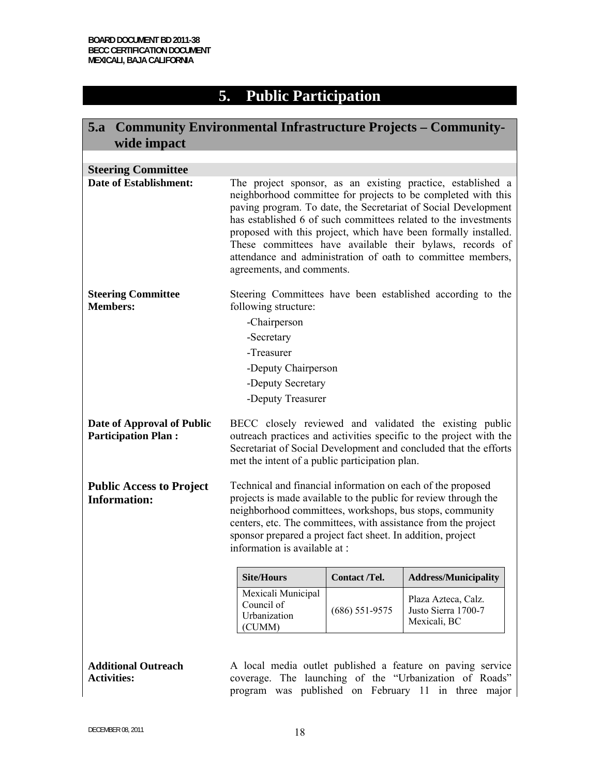# **5. Public Participation**

| 5.a Community Environmental Infrastructure Projects – Community-<br>wide impact |                                                                                                                                                                                                                                                                                                                                                                                                                                                                                              |                     |                                                                                                                                                                             |  |
|---------------------------------------------------------------------------------|----------------------------------------------------------------------------------------------------------------------------------------------------------------------------------------------------------------------------------------------------------------------------------------------------------------------------------------------------------------------------------------------------------------------------------------------------------------------------------------------|---------------------|-----------------------------------------------------------------------------------------------------------------------------------------------------------------------------|--|
|                                                                                 |                                                                                                                                                                                                                                                                                                                                                                                                                                                                                              |                     |                                                                                                                                                                             |  |
| <b>Steering Committee</b>                                                       |                                                                                                                                                                                                                                                                                                                                                                                                                                                                                              |                     |                                                                                                                                                                             |  |
| <b>Date of Establishment:</b>                                                   | The project sponsor, as an existing practice, established a<br>neighborhood committee for projects to be completed with this<br>paving program. To date, the Secretariat of Social Development<br>has established 6 of such committees related to the investments<br>proposed with this project, which have been formally installed.<br>These committees have available their bylaws, records of<br>attendance and administration of oath to committee members,<br>agreements, and comments. |                     |                                                                                                                                                                             |  |
| <b>Steering Committee</b><br><b>Members:</b>                                    | Steering Committees have been established according to the<br>following structure:<br>-Chairperson<br>-Secretary<br>-Treasurer<br>-Deputy Chairperson<br>-Deputy Secretary<br>-Deputy Treasurer                                                                                                                                                                                                                                                                                              |                     |                                                                                                                                                                             |  |
| Date of Approval of Public<br><b>Participation Plan:</b>                        | BECC closely reviewed and validated the existing public<br>outreach practices and activities specific to the project with the<br>Secretariat of Social Development and concluded that the efforts<br>met the intent of a public participation plan.                                                                                                                                                                                                                                          |                     |                                                                                                                                                                             |  |
| <b>Public Access to Project</b><br><b>Information:</b>                          | Technical and financial information on each of the proposed<br>projects is made available to the public for review through the<br>neighborhood committees, workshops, bus stops, community<br>centers, etc. The committees, with assistance from the project<br>sponsor prepared a project fact sheet. In addition, project<br>information is available at :                                                                                                                                 |                     |                                                                                                                                                                             |  |
|                                                                                 | <b>Site/Hours</b>                                                                                                                                                                                                                                                                                                                                                                                                                                                                            | <b>Contact/Tel.</b> | <b>Address/Municipality</b>                                                                                                                                                 |  |
|                                                                                 | Mexicali Municipal<br>Council of<br>Urbanization<br>(CUMM)                                                                                                                                                                                                                                                                                                                                                                                                                                   | $(686)$ 551-9575    | Plaza Azteca, Calz.<br>Justo Sierra 1700-7<br>Mexicali, BC                                                                                                                  |  |
| <b>Additional Outreach</b><br><b>Activities:</b>                                |                                                                                                                                                                                                                                                                                                                                                                                                                                                                                              |                     | A local media outlet published a feature on paving service<br>coverage. The launching of the "Urbanization of Roads"<br>program was published on February 11 in three major |  |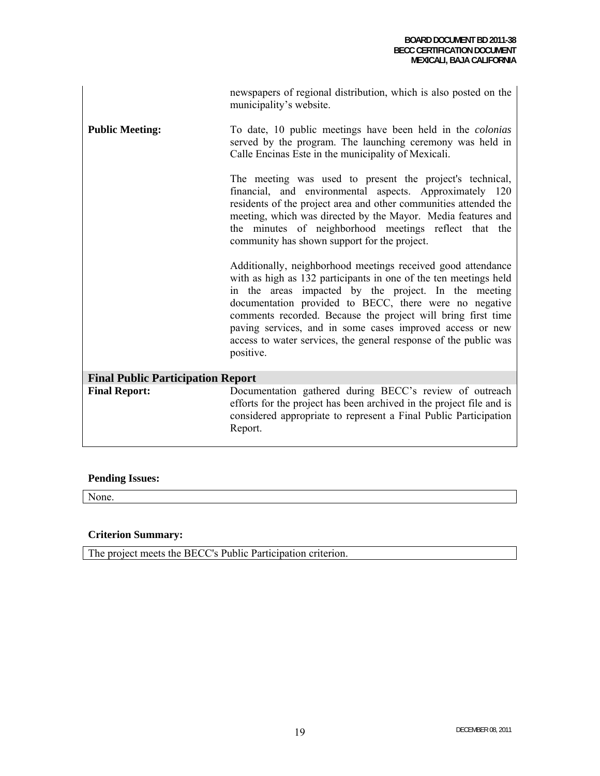|                                          | newspapers of regional distribution, which is also posted on the<br>municipality's website.                                                                                                                                                                                                                                                                                                                                                                      |  |  |  |
|------------------------------------------|------------------------------------------------------------------------------------------------------------------------------------------------------------------------------------------------------------------------------------------------------------------------------------------------------------------------------------------------------------------------------------------------------------------------------------------------------------------|--|--|--|
| <b>Public Meeting:</b>                   | To date, 10 public meetings have been held in the <i>colonias</i><br>served by the program. The launching ceremony was held in<br>Calle Encinas Este in the municipality of Mexicali.                                                                                                                                                                                                                                                                            |  |  |  |
|                                          | The meeting was used to present the project's technical,<br>financial, and environmental aspects. Approximately 120<br>residents of the project area and other communities attended the<br>meeting, which was directed by the Mayor. Media features and<br>the minutes of neighborhood meetings reflect that the<br>community has shown support for the project.                                                                                                 |  |  |  |
|                                          | Additionally, neighborhood meetings received good attendance<br>with as high as 132 participants in one of the ten meetings held<br>in the areas impacted by the project. In the meeting<br>documentation provided to BECC, there were no negative<br>comments recorded. Because the project will bring first time<br>paving services, and in some cases improved access or new<br>access to water services, the general response of the public was<br>positive. |  |  |  |
| <b>Final Public Participation Report</b> |                                                                                                                                                                                                                                                                                                                                                                                                                                                                  |  |  |  |
| <b>Final Report:</b>                     | Documentation gathered during BECC's review of outreach<br>efforts for the project has been archived in the project file and is<br>considered appropriate to represent a Final Public Participation<br>Report.                                                                                                                                                                                                                                                   |  |  |  |

### **Pending Issues:**

None.

### **Criterion Summary:**

The project meets the BECC's Public Participation criterion.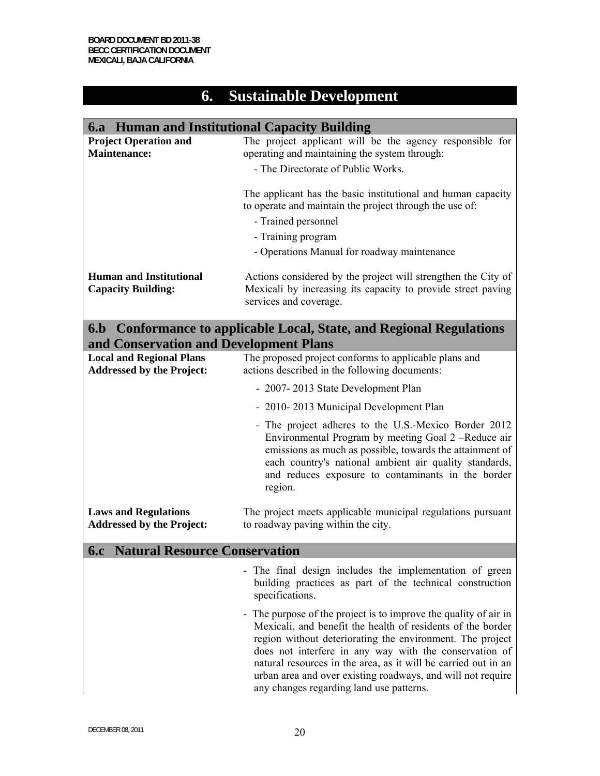# **6. Sustainable Development**

| 6.a Human and Institutional Capacity Building                       |                                                                                                                                                                                                                                                                                                                                                                                                                                   |  |  |  |
|---------------------------------------------------------------------|-----------------------------------------------------------------------------------------------------------------------------------------------------------------------------------------------------------------------------------------------------------------------------------------------------------------------------------------------------------------------------------------------------------------------------------|--|--|--|
| <b>Project Operation and</b><br><b>Maintenance:</b>                 | The project applicant will be the agency responsible for<br>operating and maintaining the system through:<br>- The Directorate of Public Works.                                                                                                                                                                                                                                                                                   |  |  |  |
|                                                                     | The applicant has the basic institutional and human capacity<br>to operate and maintain the project through the use of:<br>- Trained personnel                                                                                                                                                                                                                                                                                    |  |  |  |
|                                                                     | - Training program                                                                                                                                                                                                                                                                                                                                                                                                                |  |  |  |
|                                                                     | - Operations Manual for roadway maintenance                                                                                                                                                                                                                                                                                                                                                                                       |  |  |  |
| <b>Human and Institutional</b><br><b>Capacity Building:</b>         | Actions considered by the project will strengthen the City of<br>Mexicali by increasing its capacity to provide street paving<br>services and coverage.                                                                                                                                                                                                                                                                           |  |  |  |
| and Conservation and Development Plans                              | 6.b Conformance to applicable Local, State, and Regional Regulations                                                                                                                                                                                                                                                                                                                                                              |  |  |  |
| <b>Local and Regional Plans</b><br><b>Addressed by the Project:</b> | The proposed project conforms to applicable plans and<br>actions described in the following documents:                                                                                                                                                                                                                                                                                                                            |  |  |  |
|                                                                     | - 2007-2013 State Development Plan                                                                                                                                                                                                                                                                                                                                                                                                |  |  |  |
|                                                                     | - 2010-2013 Municipal Development Plan                                                                                                                                                                                                                                                                                                                                                                                            |  |  |  |
|                                                                     | - The project adheres to the U.S.-Mexico Border 2012<br>Environmental Program by meeting Goal 2 -Reduce air<br>emissions as much as possible, towards the attainment of<br>each country's national ambient air quality standards,<br>and reduces exposure to contaminants in the border<br>region.                                                                                                                                |  |  |  |
| <b>Laws and Regulations</b><br><b>Addressed by the Project:</b>     | The project meets applicable municipal regulations pursuant<br>to roadway paving within the city.                                                                                                                                                                                                                                                                                                                                 |  |  |  |
| <b>6.c</b> Natural Resource Conservation                            |                                                                                                                                                                                                                                                                                                                                                                                                                                   |  |  |  |
|                                                                     | - The final design includes the implementation of green<br>building practices as part of the technical construction<br>specifications.                                                                                                                                                                                                                                                                                            |  |  |  |
|                                                                     | The purpose of the project is to improve the quality of air in<br>Mexicali, and benefit the health of residents of the border<br>region without deteriorating the environment. The project<br>does not interfere in any way with the conservation of<br>natural resources in the area, as it will be carried out in an<br>urban area and over existing roadways, and will not require<br>any changes regarding land use patterns. |  |  |  |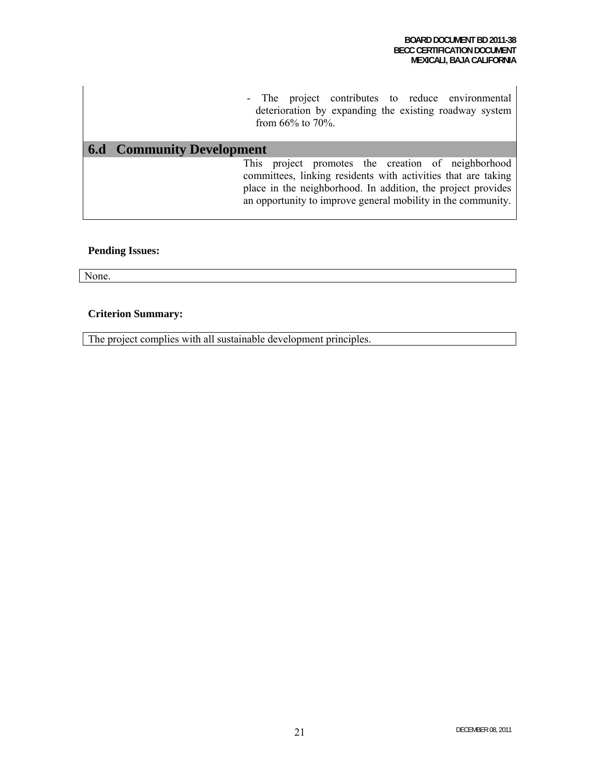|  |                     | - The project contributes to reduce environmental      |  |  |
|--|---------------------|--------------------------------------------------------|--|--|
|  |                     | deterioration by expanding the existing roadway system |  |  |
|  | from $66\%$ to 70%. |                                                        |  |  |

### **6.d Community Development**

This project promotes the creation of neighborhood committees, linking residents with activities that are taking place in the neighborhood. In addition, the project provides an opportunity to improve general mobility in the community.

#### **Pending Issues:**

None.

#### **Criterion Summary:**

The project complies with all sustainable development principles.